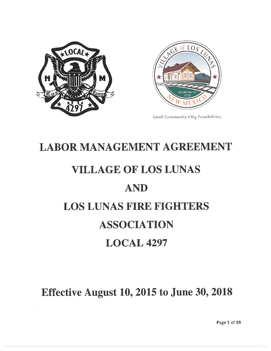



Small Community • Big Possibilities

# LABOR MANAGEMENT AGREEMENT

# VILLAGE OF LOS LUNAS

# AND

# LOS LUNAS FIRE FIGHTERS

# ASSOCIATION

# LOCAL 4297

# Effective August 10, 2015 to June 30, 2018

Page 1 of 19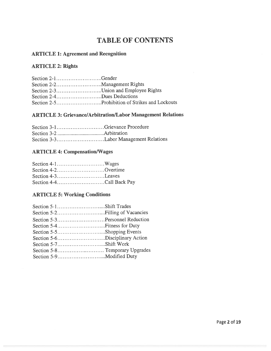# TABLE OF CONTENTS

#### ARTICLE 1: Agreement and Recognition

#### ARTICLE 2: Rights

| Section 2-1Gender                    |  |
|--------------------------------------|--|
|                                      |  |
| Section 2-3Union and Employee Rights |  |
| Section 2-4Dues Deductions           |  |
|                                      |  |

#### ARTICLE 3: Grievance/Arbitration/Labor Management Relations

#### ARTICLE 4: Compensation/Wages

| Section 4-2Overtime      |  |
|--------------------------|--|
| Section 4-3Leaves        |  |
| Section 4-4Call Back Pay |  |

#### ARTICLE 5: Working Conditions

| Section 5-1Shift Trades        |
|--------------------------------|
|                                |
| Section 5-3Personnel Reduction |
|                                |
| Section 5-5Shopping Events     |
| Section 5-6Disciplinary Action |
| Section 5-7Shift Work          |
|                                |
|                                |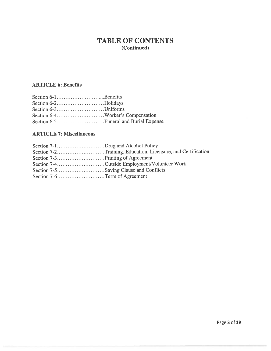### TABLE OF CONTENTS (Continued)

#### ARTICLE 6: Benefits

| Section 6-2Holidays |  |
|---------------------|--|
| Section 6-3Uniforms |  |
|                     |  |
|                     |  |

#### ARTICLE 7: Miscellaneous

|                              | Section 7-2Training, Education, Licensure, and Certification |
|------------------------------|--------------------------------------------------------------|
|                              |                                                              |
|                              | Section 7-4Outside Employment/Volunteer Work                 |
|                              |                                                              |
| Section 7-6Term of Agreement |                                                              |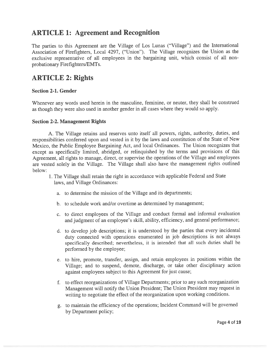### ARTICLE 1: Agreement and Recognition

The parties to this Agreement are the Village of Los Lunas ("Village") and the International Association of Firefighters, Local 4297, ("Union"). The Village recognizes the Union as the exclusive representative of all employees in the bargaining unit, which consist of all nonprobationary Firefighters/EMTs.

### ARTICLE 2: Rights

#### Section 2-1. Gender

Whenever any words used herein in the masculine, feminine, or neuter, they shall be construed as though they were also used in another gender in all cases where they would so apply.

#### Section 2-2. Management Rights

A. The Village retains and reserves unto itself all powers, rights, authority, duties, and responsibilities conferred upon and vested in it by the laws and constitution of the State of New Mexico, the Public Employee Bargaining Act, and local Ordinances. The Union recognizes that excep<sup>t</sup> as specifically limited, abridged, or relinquished by the terms and provisions of this Agreement, all rights to manage, direct, or supervise the operations of the Village and employees are vested solely in the Village. The Village shall also have the managemen<sup>t</sup> rights outlined below:

- 1. The Village shall retain the right in accordance with applicable Federal and State laws, and Village Ordinances:
	- a. to determine the mission of the Village and its departments;
	- b. to schedule work and/or overtime as determined by management;
	- c. to direct employees of the Village and conduct formal and informal evaluation and judgment of an employee's skill, ability, efficiency, and genera<sup>l</sup> performance;
	- d. to develop job descriptions; it is understood by the parties that every incidental duty connected with operations enumerated in job descriptions is not always specifically described; nevertheless, it is intended that all such duties shall be performed by the employee;
	- e. to hire, promote, transfer, assign, and retain employees in positions within the Village; and to suspend, demote, discharge, or take other disciplinary action against employees subject to this Agreement for just cause;
	- f. to effect reorganizations of Village Departments; prior to any such reorganization Management will notify the Union President; The Union President may reques<sup>t</sup> in writing to negotiate the effect of the reorganization upon working conditions.
	- g. to maintain the efficiency of the operations; Incident Command will be governe<sup>d</sup> by Department policy;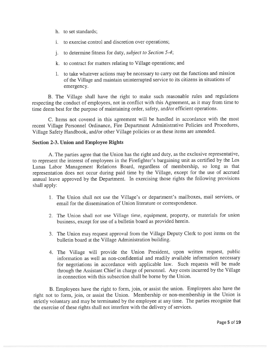- h. to set standards;
- i. to exercise control and discretion over operations;
- j. to determine fitness for duty, subject to Section 5-4;
- k. to contract for matters relating to Village operations; and
- 1. to take whatever actions may be necessary to carry out the functions and mission of the Village and maintain uninterrupted service to its citizens in situations of emergency.

B. The Village shall have the right to make such reasonable rules and regulations respecting the conduct of employees, not in conflict with this Agreement, as it may from time to time deem best for the purpose of maintaining order, safety, and/or efficient operations.

C. Items not covered in this agreemen<sup>t</sup> will be handled in accordance with the most recent Village Personnel Ordinance, Fire Department Administrative Policies and Procedures, Village Safety Handbook, and/or other Village policies or as these items are amended.

#### Section 2-3. Union and Employee Rights

A. The parties agree that the Union has the right and duty, as the exclusive representative, to represen<sup>t</sup> the interest of employees in the Firefighter's bargaining unit as certified by the Los Lunas Labor Management Relations Board, regardless of membership, so long as that representation does not occur during paid time by the Village, excep<sup>t</sup> for the use of accrued annual leave approve<sup>d</sup> by the Department. In exercising those rights the following provisions shall apply:

- 1. The Union shall not use the Village's or department's mailboxes, mail services, or email for the dissemination of Union literature or correspondence.
- 2. The Union shall not use Village time, equipment, property, or materials for union business, excep<sup>t</sup> for use of <sup>a</sup> bulletin board as provided herein.
- 3. The Union may reques<sup>t</sup> approva<sup>l</sup> from the Village Deputy Clerk to pos<sup>t</sup> items on the bulletin board at the Village Administration building.
- 4. The Village will provide the Union President, upon written request, public information as well as non-confidential and readily available information necessary for negotiations in accordance with applicable law. Such requests will be made through the Assistant Chief in charge of personnel. Any costs incurred by the Village in connection with this subsection shall be borne by the Union.

B. Employees have the right to form, join, or assist the union. Employees also have the right not to form, join, or assist the Union. Membership or non-membership in the Union is strictly voluntary and may be terminated by the employee at any time. The parties recognize that the exercise of these rights shall not interfere with the delivery of services.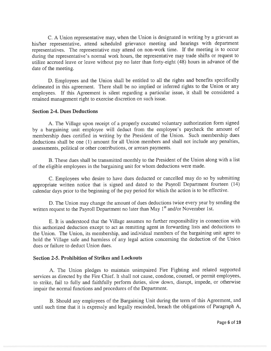C. <sup>A</sup> Union representative may, when the Union is designated in writing by <sup>a</sup> grievant as his/her representative, attend scheduled grievance meeting and hearings with department representatives. The representative may attend on non-work time. If the meeting is to occur during the representative's normal work hours, the representative may trade shifts or reques<sup>t</sup> to utilize accrued leave or leave without pay no later than forty-eight (48) hours in advance of the date of the meeting.

D. Employees and the Union shall be entitled to all the rights and benefits specifically delineated in this agreement. There shall be no implied or inferred rights to the Union or any employees. If this Agreement is silent regarding <sup>a</sup> particular issue, it shall be considered <sup>a</sup> retained managemen<sup>t</sup> right to exercise discretion on such issue.

#### Section 2-4. Dues Deductions

A. The Village upon receipt of <sup>a</sup> properly executed voluntary authorization form signed by <sup>a</sup> bargaining unit employee will deduct from the employee's paycheck the amount of membership dues certified in writing by the President of the Union. Such membership dues deductions shall be one (1) amount for all Union members and shall not include any penalties, assessments, political or other contributions, or arrears payments.

B. These dues shall be transmitted monthly to the President of the Union along with <sup>a</sup> list of the eligible employees in the bargaining unit for whom deductions were made.

C. Employees who desire to have dues deducted or cancelled may do so by submitting appropriate written notice that is signed and dated to the Payroll Department fourteen (14) calendar days prior to the beginning of the pay period for which the action is to be effective.

D. The Union may change the amount of dues deductions twice every year by sending the written request to the Payroll Department no later than May  $1<sup>st</sup>$  and/or November 1st.

E. It is understood that the Village assumes no further responsibility in connection with this authorized deduction excep<sup>t</sup> to act as remitting agen<sup>t</sup> in forwarding lists and deductions to the Union. The Union, its membership, and individual members of the bargaining unit agree to hold the Village safe and harmless of any legal action concerning the deduction of the Union dues or failure to deduct Union dues.

#### Section 2-5. Prohibition of Strikes and Lockouts

A. The Union <sup>p</sup>ledges to maintain unimpaired Fire Fighting and related supported services as directed by the Fire Chief. It shall not cause, condone, counsel, or permit employees, to strike, fail to fully and faithfully perform duties, slow down, disrupt, impede, or otherwise impair the normal functions and procedures of the Department.

B. Should any employees of the Bargaining Unit during the term of this Agreement, and until such time that it is expressly and legally rescinded, breach the obligations of Paragraph A,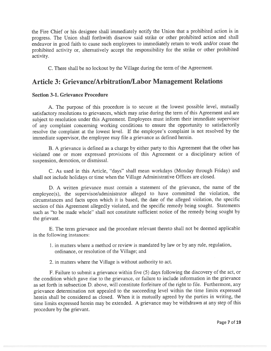the Fire Chief or his designee shall immediately notify the Union that <sup>a</sup> prohibited action is in progress. The Union shall forthwith disavow said strike or other prohibited action and shall endeavor in goo<sup>d</sup> faith to cause such employees to immediately return to work and/or cease the prohibited activity or, alternatively accep<sup>t</sup> the responsibility for the strike or other prohibited activity.

C. There shall be no lockout by the Village during the term of the Agreement.

### Article 3: Grievance/Arbitration/Labor Management Relations

#### Section 3-1. Grievance Procedure

A. The purpose of this procedure is to secure at the lowest possible level, mutually satisfactory resolutions to grievances, which may arise during the term of this Agreement and are subject to resolution under this Agreement. Employees must inform their immediate supervisor of any complaint concerning working conditions to ensure the opportunity to satisfactorily resolve the complaint at the lowest level. If the employee's complaint is not resolved by the immediate supervisor, the employee may file <sup>a</sup> grievance as defined herein.

B. <sup>A</sup> grievance is defined as <sup>a</sup> charge by either party to this Agreement that the other has violated one or more expresse<sup>d</sup> provisions of this Agreement or <sup>a</sup> disciplinary action of suspension, demotion, or dismissal.

C. As used in this Article, "days" shall mean workdays (Monday through Friday) and shall not include holidays or time when the Village Administrative Offices are closed.

D. <sup>A</sup> written grievance must contain <sup>a</sup> statement of the grievance, the name of the employee(s), the supervisor/administrator alleged to have committed the violation, the circumstances and facts upon which it is based, the date of the alleged violation, the specific section of this Agreement allegedly violated, and the specific remedy being sought. Statements such as "to be made whole" shall not constitute sufficient notice of the remedy being sought by the grievant.

E. The term grievance and the procedure relevant thereto shall not be deemed applicable in the following instances:

- 1. in matters where <sup>a</sup> method or review is mandated by law or by any rule, regulation, ordinance, or resolution of the Village; and
- 2. in matters where the Village is without authority to act.

F. Failure to submit <sup>a</sup> grievance within five (5) days following the discovery of the act, or the condition which gave rise to the grievance, or failure to include information in the grievance as set forth in subsection D. above, will constitute forfeiture of the right to file. Furthermore, any grievance determination not appealed to the succeeding level within the time limits expresse<sup>d</sup> herein shall be considered as closed. When it is mutually agreed by the parties in writing, the time limits expresse<sup>d</sup> herein may be extended. <sup>A</sup> grievance may be withdrawn at any step of this procedure by the grievant.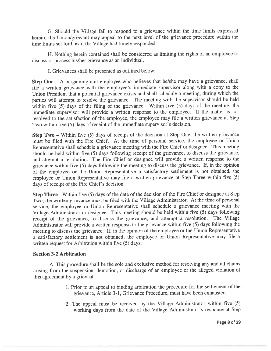G. Should the Village fail to respon<sup>d</sup> to <sup>a</sup> grievance within the time limits expresse<sup>d</sup> herein, the Union/grievant may appea<sup>l</sup> to the next level of the grievance procedure within the time limits set forth as if the Village had timely responded.

H. Nothing herein contained shall be considered as limiting the rights of an employee to discuss or process his/her grievance as an individual.

I. Grievances shall be presented as outlined below:

Step One — <sup>A</sup> bargaining unit employee who believes that he/she may have <sup>a</sup> grievance, shall file <sup>a</sup> written grievance with the employee's immediate supervisor along with <sup>a</sup> copy to the Union President that <sup>a</sup> potential grievance exists and shall schedule <sup>a</sup> meeting, during which the parties will attempt to resolve the grievance. The meeting with the supervisor should be held within five (5) days of the filing of the grievance. Within five (5) days of the meeting, the immediate supervisor will provide <sup>a</sup> written response to the employee. If the matter is not resolved to the satisfaction of the employee, the employee may file <sup>a</sup> written grievance at Step Two within five (5) days of receipt of the immediate supervisor's decision.

Step Two — Within five (5) days of receipt of the decision at Step One, the written grievance must be filed with the Fire Chief. At the time of personal service, the employee or Union Representative shall schedule <sup>a</sup> grievance meeting with the Fire Chief or designee. This meeting should be held within five (5) days following receipt of the grievance, to discuss the grievance, and attempt <sup>a</sup> resolution. The Fire Chief or designee will provide <sup>a</sup> written response to the grievance within five (5) days following the meeting to discuss the grievance. If, in the opinion of the employee or the Union Representative <sup>a</sup> satisfactory settlement is not obtained, the employee or Union Representative may file <sup>a</sup> written grievance at Step Three within five (5) days of receipt of the Fire Chief's decision.

Step Three - Within five (5) days of the date of the decision of the Fire Chief or designee at Step Two, the written grievance must be filed with the Village Administrator. At the time of persona<sup>l</sup> service, the employee or Union Representative shall schedule <sup>a</sup> grievance meeting with the Village Administrator or designee. This meeting should be held within five (5) days following receipt of the grievance, to discuss the grievance, and attempt <sup>a</sup> resolution. The Village Administrator will provide <sup>a</sup> written response to the grievance within five (5) days following the meeting to discuss the grievance. If, in the opinion of the employee or the Union Representative <sup>a</sup> satisfactory settlement is not obtained, the employee or Union Representative may file <sup>a</sup> written reques<sup>t</sup> for Arbitration within five (5) days.

#### Section 3-2 Arbitration

A. This procedure shall be the sole and exclusive method for resolving any and all claims arising from the suspension, demotion, or discharge of an employee or the alleged violation of this agreemen<sup>t</sup> by <sup>a</sup> grievant.

- 1. Prior to an appea<sup>l</sup> to binding arbitration the procedure for the settlement of the grievance, Article 3-1, Grievance Procedure, must have been exhausted.
- 2. The appea<sup>l</sup> must be received by the Village Administrator within five (5) working days from the date of the Village Administrator's response at Step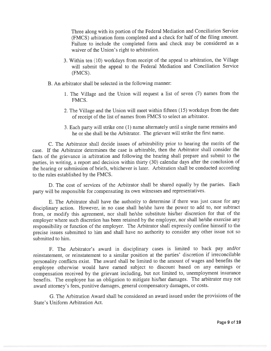Three along with its portion of the Federal Mediation and Conciliation Service (FMCS) arbitration form completed and <sup>a</sup> check for half of the filing amount. Failure to include the completed form and check may be considered as a waiver of the Union's right to arbitration.

- 3. Within ten (10) workdays from receipt of the appea<sup>l</sup> to arbitration, the Village will submit the appea<sup>l</sup> to the Federal Mediation and Conciliation Service (FMCS).
- B. An arbitrator shall be selected in the following manner:
	- 1. The Village and the Union will reques<sup>t</sup> <sup>a</sup> list of seven (7) names from the FMCS.
	- 2. The Village and the Union will meet within fifteen (15) workdays from the date of receipt of the list of names from FMCS to select an arbitrator.
	- 3. Each party will strike one (1) name alternately until <sup>a</sup> single name remains and he or she shall be the Arbitrator. The grievant will strike the first name.

C. The Arbitrator shall decide issues of arbitrability prior to hearing the merits of the case. If the Arbitrator determines the case is arbitrable, then the Arbitrator shall consider the facts of the grievance in arbitration and following the hearing shall prepare and submit to the parties, in writing, <sup>a</sup> repor<sup>t</sup> and decision within thirty (30) calendar days after the conclusion of the hearing or submission of briefs, whichever is later. Arbitration shall be conducted according to the rules established by the FMCS.

D. The cost of services of the Arbitrator shall be shared equally by the parties. Each party will be responsible for compensating its own witnesses and representatives.

E. The Arbitrator shall have the authority to determine if there was just cause for any disciplinary action. However, in no case shall he/she have the power to add to, nor subtract from, or modify this agreement, nor shall he/she substitute his/her discretion for that of the employer where such discretion has been retained by the employer, nor shall he/she exercise any responsibility or function of the employer. The Arbitrator shall expressly confine himself to the precise issues submitted to him and shall have no authority to consider any other issue not so submitted to him.

F. The Arbitrator's award in disciplinary cases is limited to back pay and/or reinstatement, or reinstatement to <sup>a</sup> similar position at the parties' discretion if irreconcilable personality conflicts exist. The award shall be limited to the amount of wages and benefits the employee otherwise would have earned subject to discount based on any earnings or compensation received by the grievant including, but not limited to, unemployment insurance benefits. The employee has an obligation to mitigate his/her damages. The arbitrator may not award attorney's fees, punitive damages, genera<sup>l</sup> compensatory damages, or costs.

G. The Arbitration Award shall be considered an award issued under the provisions of the State's Uniform Arbitration Act.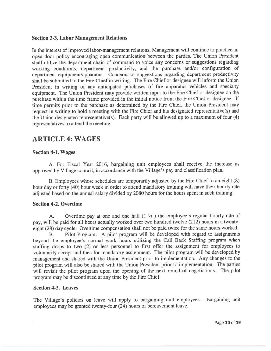#### Section 3-3. Labor Management Relations

In the interest of improved labor-management relations, Management will continue to practice an open door policy encouraging open communication between the parties. The Union President shall utilize the department chain of command to voice any concerns or suggestions regarding working conditions, department productivity, and the purchase and/or configuration of department equipment/apparatus. Concerns or suggestions regarding department productivity shall be submitted to the Fire Chief in writing. The Fire Chief or designee will inform the Union President in writing of any anticipated purchases of fire apparatus vehicles and specialty equipment. The Union President may provide written input to the Fire Chief or designee on the purchase within the time frame provided in the initial notice from the Fire Chief or designee. If time permits prior to the purchase as determined by the Fire Chief, the Union President may reques<sup>t</sup> in writing to hold <sup>a</sup> meeting with the Fire Chief and his designated representative(s) and the Union designated representative(s). Each party will be allowed up to <sup>a</sup> maximum of four (4) representatives to attend the meeting.

### ARTICLE 4: WAGES

#### Section 4-1. Wages

A. For Fiscal Year 2016, bargaining unit employees shall receive the increase as approve<sup>d</sup> by Village council, in accordance with the Village's pay and classification <sup>p</sup>lan.

B. Employees whose schedules are temporarily adjusted by the Fire Chief to an eight (8) hour day or forty (40) hour week in order to attend mandatory training will have their hourly rate adjusted based on the annual salary divided by <sup>2080</sup> hours for the hours spen<sup>t</sup> in such training.

#### Section 4-2. Overtime

A. Overtime pay at one and one half  $(1 \frac{1}{2})$  the employee's regular hourly rate of pay, will be paid for all hours actually worked over two hundred twelve (212) hours in <sup>a</sup> twentyeight (28) day cycle. Overtime compensation shall not be paid twice for the same hours worked.

B. Pilot Program: <sup>A</sup> <sup>p</sup>ilot program will be developed with regar<sup>d</sup> to assignments beyond the employee's normal work hours utilizing the Call Back Staffing program when staffing drops to two (2) or less personne<sup>l</sup> to first offer the assignment for employees to voluntarily accep<sup>t</sup> and then for mandatory assignment. The <sup>p</sup>ilot program will be developed by managemen<sup>t</sup> and shared with the Union President prior to implementation. Any changes to the <sup>p</sup>ilot program will also be shared with the Union President prior to implementation. The parties will revisit the <sup>p</sup>ilot program upon the opening of the next round of negotiations. The <sup>p</sup>ilot program may be discontinued at any time by the Fire Chief.

#### Section 4-3. Leaves

The Village's policies on leave will apply to bargaining unit employees. Bargaining unit employees may be granted twenty-four (24) hours of bereavement leave.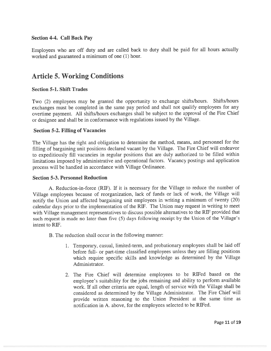#### Section 4-4. Call Back Pay

Employees who are off duty and are called back to duty shall be paid for all hours actually worked and guaranteed <sup>a</sup> minimum of one (1) hour.

### Article 5. Working Conditions

#### Section 5-1. Shift Trades

Two (2) employees may be granted the opportunity to exchange shifts/hours. Shifts/hours exchanges must be completed in the same pay period and shall not qualify employees for any overtime payment. All shifts/hours exchanges shall be subject to the approva<sup>l</sup> of the Fire Chief or designee and shall be in conformance with regulations issued by the Village.

#### Section 5-2. Filling of Vacancies

The Village has the right and obligation to determine the method, means, and personne<sup>l</sup> for the filling of bargaining unit positions declared vacant by the Village. The Fire Chief will endeavor to expeditiously fill vacancies in regular positions that are duly authorized to be filled within limitations imposed by administrative and operational factors. Vacancy postings and application process will be handled in accordance with Village Ordinance.

#### Section 5-3. Personnel Reduction

A. Reduction-in-force (RIF). If it is necessary for the Village to reduce the number of Village employees because of reorganization, lack of funds or lack of work, the Village will notify the Union and affected bargaining unit employees in writing <sup>a</sup> minimum of twenty (20) calendar days prior to the implementation of the RIF. The Union may reques<sup>t</sup> in writing to meet with Village managemen<sup>t</sup> representatives to discuss possible alternatives to the RIF provided that such reques<sup>t</sup> is made no later than five (5) days following receipt by the Union of the Village's intent to RIF.

B. The reduction shall occur in the following manner:

- 1. Temporary, casual, limited-term, and probationary employees shall be laid off before full- or part-time classified employees unless they are filling positions which require specific skills and knowledge as determined by the Village Administrator.
- 2. The Fire Chief will determine employees to be RIFed based on the employee's suitability for the jobs remaining and ability to perform available work. If all other criteria are equal, length of service with the Village shall be considered as determined by the Village Administrator. The Fire Chief will provide written reasoning to the Union President at the same time as notification in A. above, for the employees selected to be RiFed.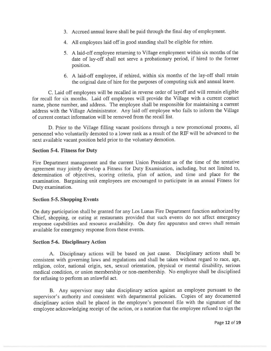- 3. Accrued annual leave shall be paid through the final day of employment.
- 4. All employees laid off in good standing shall be eligible for rehire.
- 5. <sup>A</sup> laid-off employee returning to Village employment within six months of the date of lay-off shall not serve <sup>a</sup> probationary period, if hired to the former position.
- 6. <sup>A</sup> laid-off employee, if rehired, within six months of the lay-off shall retain the original date of hire for the purposes of computing sick and annual leave.

C. Laid off employees will be recalled in reverse order of layoff and will remain eligible for recall for six months. Laid off employees will provide the Village with <sup>a</sup> current contact name, <sup>p</sup>hone number, and address. The employee shall be responsible for maintaining <sup>a</sup> current address with the Village Administrator. Any laid off employee who fails to inform the Village of current contact information will be removed from the recall list.

D. Prior to the Village filling vacant positions through <sup>a</sup> new promotional process, all personne<sup>l</sup> who voluntarily demoted to <sup>a</sup> lower rank as <sup>a</sup> result of the RIF will be advanced to the next available vacant position held prior to the voluntary demotion.

#### Section 5-4. Fitness for Duty

Fire Department managemen<sup>t</sup> and the current Union President as of the time of the tentative agreemen<sup>t</sup> may jointly develop <sup>a</sup> Fitness for Duty Examination, including, but not limited to, determination of objectives, scoring criteria, <sup>p</sup>lan of action, and time and <sup>p</sup>lace for the examination. Bargaining unit employees are encourage<sup>d</sup> to participate in an annual Fitness for Duty examination.

#### Section 5-5. Shopping Events

On duty participation shall be granted for any Los Lunas Fire Department function authorized by Chief, shopping, or eating at restaurants provided that such events do not affect emergency response capabilities and resource availability. On duty fire apparatus and crews shall remain available for emergency response from these events.

#### Section 5-6. Disciplinary Action

A. Disciplinary actions will be based on just cause. Disciplinary actions shall be consistent with governing laws and regulations and shall be taken without regar<sup>d</sup> to race, age, religion, color, national origin, sex, sexual orientation, <sup>p</sup>hysical or mental disability, serious medical condition, or union membership or non-membership. No employee shall be disciplined for refusing to perform an unlawful act.

B. Any supervisor may take disciplinary action against an employee pursuan<sup>t</sup> to the supervisor's authority and consistent with departmental policies. Copies of any documented disciplinary action shall be <sup>p</sup>laced in the employee's personne<sup>l</sup> file with the signature of the employee acknowledging receipt of the action, or <sup>a</sup> notation that the employee refused to sign the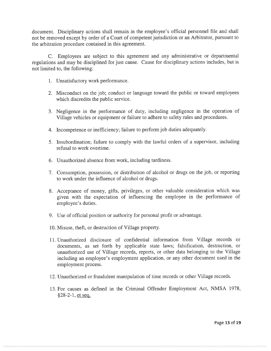document. Disciplinary actions shall remain in the employee's official personne<sup>l</sup> file and shall not be removed excep<sup>t</sup> by order of <sup>a</sup> Court of competent jurisdiction or an Arbitrator, pursuan<sup>t</sup> to the arbitration procedure contained in this agreement.

C. Employees are subject to this agreemen<sup>t</sup> and any administrative or departmental regulations and may be disciplined for just cause. Cause for disciplinary actions includes, but is not limited to, the following:

- 1. Unsatisfactory work performance.
- 2. Misconduct on the job; conduct or language toward the public or toward employees which discredits the public service.
- 3. Negligence in the performance of duty, including negligence in the operation of Village vehicles or equipment or failure to adhere to safety rules and procedures.
- 4. Incompetence or inefficiency; failure to perform job duties adequately.
- 5. Insubordination; failure to comply with the lawful orders of <sup>a</sup> supervisor, including refusal to work overtime.
- 6. Unauthorized absence from work, including tardiness.
- 7. Consumption, possession, or distribution of alcohol or drugs on the job, or reporting to work under the influence of alcohol or drugs.
- 8. Acceptance of money, <sup>g</sup>ifts, privileges, or other valuable consideration which was <sup>g</sup>iven with the expectation of influencing the employee in the performance of employee's duties.
- 9. Use of official position or authority for personal profit or advantage.
- 10. Misuse, theft, or destruction of Village property.
- 11. Unauthorized disclosure of confidential information from Village records or documents, as set forth by applicable state laws; falsification, destruction, or unauthorized use of Village records, reports, or other data belonging to the Village including an employee's employment application, or any other document used in the employment process.
- 12. Unauthorized or fraudulent manipulation of time records or other Village records.
- 13. For causes as defined in the Criminal Offender Employment Act, NMSA 1978, §28-2-1, et seq.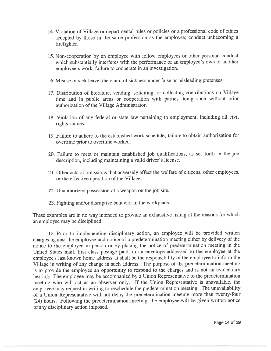- 14. Violation of Village or departmental rules or policies or <sup>a</sup> professional code of ethics accepted by those in the same profession as the employee; conduct unbecoming <sup>a</sup> firefighter.
- 15. Non-cooperation by an employee with fellow employees or other persona<sup>l</sup> conduct which substantially interferes with the performance of an employee's own or another employee's work; failure to cooperate in an investigation.
- 16. Misuse of sick leave; the claim of sickness under false or misleading pretenses.
- 17. Distribution of literature, vending, soliciting, or collecting contributions on Village time and in public areas or cooperation with parties doing such without prior authorization of the Village Administrator.
- 18. Violation of any federal or state law pertaining to employment, including all civil rights statues.
- 19. Failure to adhere to the established work schedule; failure to obtain authorization for overtime prior to overtime worked.
- 20. Failure to meet or maintain established job qualifications, as set forth in the job description, including maintaining <sup>a</sup> valid driver's license.
- 21. Other acts of omissions that adversely affect the welfare of citizens, other employees, or the effective operation of the Village.
- 22. Unauthorized possession of <sup>a</sup> weapon on the job site.
- 23. Fighting and/or disruptive behavior in the workplace.

These examples are in no way intended to provide an exhaustive listing of the reasons for which an employee may be disciplined.

D. Prior to implementing disciplinary action, an employee will be provided written charges against the employee and notice of <sup>a</sup> predetermination meeting either by delivery of the notice to the employee in person or by <sup>p</sup>lacing the notice of predetermination meeting in the United States mail, first class postage paid, in an envelope addressed to the employee at the employee's last known home address. It shall be the responsibility of the employee to inform the Village in writing of any change in such address. The purpose of the predetermination meeting is to provide the employee an opportunity to respon<sup>d</sup> to the charges and is not an evidentiary hearing. The employee may be accompanied by <sup>a</sup> Union Representative to the predetermination meeting who will act as an observer only. If the Union Representative is unavailable, the employee may reques<sup>t</sup> in writing to reschedule the predetermination meeting. The unavailability of <sup>a</sup> Union Representative will not delay the predetermination meeting more than twenty-four (24) hours. Following the predetermination meeting, the employee will be <sup>g</sup>iven written notice of any disciplinary action imposed.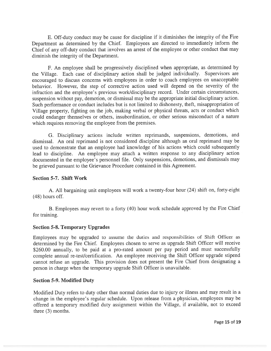E. Off-duty conduct may be cause for discipline if it diminishes the integrity of the Fire Department as determined by the Chief. Employees are directed to immediately inform the Chief of any off-duty conduct that involves an arrest of the employee or other conduct that may diminish the integrity of the Department.

F. An employee shall be progressively disciplined when appropriate, as determined by the Village. Each case of disciplinary action shall be judged individually. Supervisors are encourage<sup>d</sup> to discuss concerns with employees in order to coach employees on unacceptable behavior. However, the step of corrective action used will depend on the severity of the infraction and the employee's previous work/disciplinary record. Under certain circumstances, suspension without pay, demotion, or dismissal may be the appropriate initial disciplinary action. Such performance or conduct includes but is not limited to dishonesty, theft, misappropriation of Village property, fighting on the job, making verbal or <sup>p</sup>hysical threats, acts or conduct which could endanger themselves or others, insubordination, or other serious misconduct of <sup>a</sup> nature which requires removing the employee from the premises.

G. Disciplinary actions include written reprimands, suspensions, demotions, and dismissal. An oral reprimand is not considered discipline although an oral reprimand may be used to demonstrate that an employee had knowledge of his actions which could subsequently lead to discipline. An employee may attach <sup>a</sup> written response to any disciplinary action documented in the employee's personne<sup>l</sup> file. Only suspensions, demotions, and dismissals may be grieved pursuan<sup>t</sup> to the Grievance Procedure contained in this Agreement.

#### Section 5-7. Shift Work

A. All bargaining unit employees will work <sup>a</sup> twenty-four hour (24) shift on, forty-eight (48) hours off.

B. Employees may revert to <sup>a</sup> forty (40) hour work schedule approve<sup>d</sup> by the Fire Chief for training.

#### Section 5-8. Temporary Upgrades

Employees may be upgraded to assume the duties and responsibilities of Shift Officer as determined by the Fire Chief. Employees chosen to serve as upgrade Shift Officer will receive \$260.00 annually, to be paid at a pro-rated amount per pay period and must successfully complete annual re-test/certification. An employee receiving the Shift Officer upgrade stipend cannot refuse an upgrade. This provision does not presen<sup>t</sup> the Fire Chief from designating <sup>a</sup> person in charge when the temporary upgrade Shift Officer is unavailable.

#### Section 5-9. Modified Duty

Modified Duty refers to duty other than normal duties due to injury or illness and may result in <sup>a</sup> change in the employee's regular schedule. Upon release from <sup>a</sup> <sup>p</sup>hysician, employees may be offered <sup>a</sup> temporary modified duty assignment within the Village, if available, not to exceed three (3) months.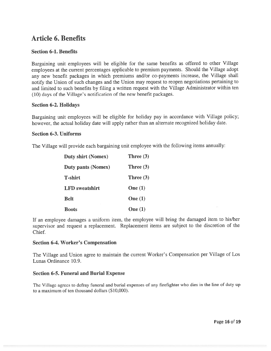# Article 6. Benefits

#### Section 6-1. Benefits

Bargaining unit employees will be eligible for the same benefits as offered to other Village employees at the current percentages applicable to premium payments. Should the Village adopt any new benefit packages in which premiums and/or co-payments increase, the Village shall notify the Union of such changes and the Union may reques<sup>t</sup> to reopen negotiations pertaining to and limited to such benefits by filing <sup>a</sup> written reques<sup>t</sup> with the Village Administrator within ten (10) days of the Village's notification of the new benefit packages.

#### Section 6-2. Holidays

Bargaining unit employees will be eligible for holiday pay in accordance with Village policy; however, the actual holiday date will apply rather than an alternate recognized holiday date.

#### Section 6-3. Uniforms

The Village will provide each bargaining unit employee with the following items annually:

| <b>Duty shirt (Nomex)</b> | Three $(3)$ |
|---------------------------|-------------|
| <b>Duty pants (Nomex)</b> | Three $(3)$ |
| <b>T-shirt</b>            | Three $(3)$ |
| <b>LFD</b> sweatshirt     | One $(1)$   |
| <b>Belt</b>               | One $(1)$   |
| <b>Boots</b>              | One $(1)$   |

If an employee damages <sup>a</sup> uniform item, the employee will bring the damaged item to his/her supervisor and reques<sup>t</sup> <sup>a</sup> replacement. Replacement items are subject to the discretion of the Chief.

#### Section 6-4. Worker's Compensation

The Village and Union agree to maintain the current Worker's Compensation per Village of Los Lunas Ordinance 10.9.

#### Section 6-5. Funeral and Burial Expense

The Village agrees to defray funeral and burial expenses of any firefighter who dies in the line of duty up to <sup>a</sup> maximum of ten thousand dollars (\$10,000).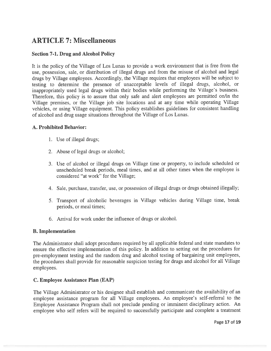# ARTICLE 7: Miscellaneous

#### Section 7-1. Drug and Alcohol Policy

It is the policy of the Village of Los Lunas to provide <sup>a</sup> work environment that is free from the use, possession, sale, or distribution of illegal drugs and from the misuse of alcohol and legal drugs by Village employees. Accordingly, the Village requires that employees will be subject to testing to determine the presence of unacceptable levels of illegal drugs, alcohol, or inappropriately used legal drugs within their bodies while performing the Village's business. Therefore, this policy is to assure that only safe and alert employees are permitted on/in the Village premises, or the Village job site locations and at any time while operating Village vehicles, or using Village equipment. This policy establishes guidelines for consistent handling of alcohol and drug usage situations throughout the Village of Los Lunas.

#### A. Prohibited Behavior:

- 1. Use of illegal drugs;
- 2. Abuse of legal drugs or alcohol;
- 3. Use of alcohol or illegal drugs on Village time or property, to include scheduled or unscheduled break periods, meal times, and at all other times when the employee is considered "at work" for the Village;
- 4. Sale, purchase, transfer, use, or possession of illegal drugs or drugs obtained illegally;
- 5. Transport of alcoholic beverages in Village vehicles during Village time, break periods, or meal times;
- 6. Arrival for work under the influence of drugs or alcohol.

#### B. Implementation

The Administrator shall adopt procedures required by all applicable federal and state mandates to ensure the effective implementation of this policy. In addition to setting out the procedures for pre-employment testing and the random drug and alcohol testing of bargaining unit employees, the procedures shall provide for reasonable suspicion testing for drugs and alcohol for all Village employees.

#### C. Employee Assistance Plan (EAP)

The Village Administrator or his designee shall establish and communicate the availability of an employee assistance program for all Village employees. An employee's self-referral to the Employee Assistance Program shall not preclude pending or imminent disciplinary action. An employee who self refers will be required to successfully participate and complete <sup>a</sup> treatment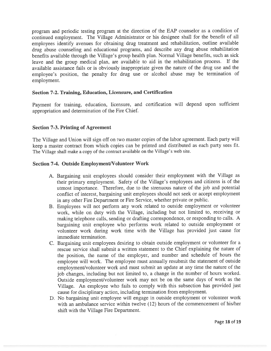program and periodic testing program at the direction of the EAP counselor as <sup>a</sup> condition of continued employment. The Village Administrator or his designee shall for the benefit of all employees identify avenues for obtaining drug treatment and rehabilitation, outline available drug abuse counseling and educational programs, and describe any drug abuse rehabilitation benefits available through the Village's group health <sup>p</sup>lan. Normal Village benefits, such as sick leave and the group medical <sup>p</sup>lan, are available to aid in the rehabilitation process. If the available assistance fails or is obviously inappropriate <sup>g</sup>iven the nature of the drug use and the employee's position, the penalty for drug use or alcohol abuse may be termination of employment.

#### Section 7-2. Training, Education, Licensure, and Certification

Payment for training, education, licensure, and certification will depend upon sufficient appropriation and determination of the Fire Chief.

#### Section 7-3. Printing of Agreement

The Village and Union will sign off on two master copies of the labor agreement. Each party will keep <sup>a</sup> master contract from which copies can be printed and distributed as each party sees fit. The Village shall make <sup>a</sup> copy of the contract available on the Village's web site.

#### Section 7-4. Outside Employment/Volunteer Work

- A. Bargaining unit employees should consider their employment with the Village as their primary employment. Safety of the Village's employees and citizens is of the utmost importance. Therefore, due to the strenuous nature of the job and potential conflict of interest, bargaining unit employees should not seek or accep<sup>t</sup> employment in any other Fire Department or Fire Service, whether private or public.
- B. Employees will not perform any work related to outside employment or volunteer work, while on duty with the Village, including but not limited to, receiving or making telephone calls, sending or drafting correspondence, or responding to calls. <sup>A</sup> bargaining unit employee who performs work related to outside employment or volunteer work during work time with the Village has provided just cause for immediate termination.
- C. Bargaining unit employees desiring to obtain outside employment or volunteer for <sup>a</sup> rescue service shall submit <sup>a</sup> written statement to the Chief explaining the nature of the position, the name of the employer, and number and schedule of hours the employee will work. The employee must annually resubmit the statement of outside employment/volunteer work and must submit an update at any time the nature of the job changes, including but not limited to, <sup>a</sup> change in the number of hours worked. Outside employment/volunteer work may not be on the same days of work as the Village. An employee who fails to comply with this subsection has provided just cause for disciplinary action, including termination from employment.
- D. No bargaining unit employee will engage in outside employment or volunteer work with an ambulance service within twelve (12) hours of the commencement of his/her shift with the Village Fire Department.